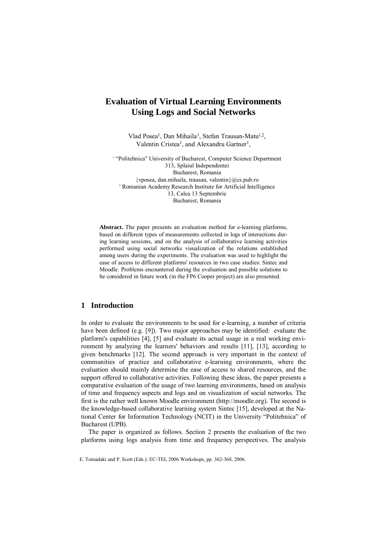# **Evaluation of Virtual Learning Environments Using Logs and Social Networks**

Vlad Posea<sup>1</sup>, Dan Mihaila<sup>1</sup>, Stefan Trausan-Matu<sup>1,2</sup>, Valentin Cristea<sup>1</sup>, and Alexandru Gartner<sup>1</sup>,

<sup>1</sup> "Politehnica" University of Bucharest, Computer Science Department 313, Splaiul Independentei Bucharest, Romania {vposea, dan.mihaila, trausan, valentin}@cs.pub.ro 2 Romanian Academy Research Institute for Artificial Intelligence 13, Calea 13 Septembrie Bucharest, Romania

**Abstract.** The paper presents an evaluation method for e-learning platforms, based on different types of measurements collected in logs of interactions during learning sessions, and on the analysis of collaborative learning activities performed using social networks visualization of the relations established among users during the experiments. The evaluation was used to highlight the ease of access to different platforms' resources in two case studies: Sintec and Moodle. Problems encountered during the evaluation and possible solutions to be considered in future work (in the FP6 Cooper project) are also presented.

## **1 Introduction**

In order to evaluate the environments to be used for e-learning, a number of criteria have been defined (e.g. [9]). Two major approaches may be identified: evaluate the platform's capabilities [4], [5] and evaluate its actual usage in a real working environment by analyzing the learners' behaviors and results [11], [13], according to given benchmarks [12]. The second approach is very important in the context of communities of practice and collaborative e-learning environments, where the evaluation should mainly determine the ease of access to shared resources, and the support offered to collaborative activities. Following these ideas, the paper presents a comparative evaluation of the usage of two learning environments, based on analysis of time and frequency aspects and logs and on visualization of social networks. The first is the rather well known Moodle environment (http://moodle.org). The second is the knowledge-based collaborative learning system Sintec [15], developed at the National Center for Information Technology (NCIT) in the University "Politehnica" of Bucharest (UPB).

The paper is organized as follows. Section 2 presents the evaluation of the two platforms using logs analysis from time and frequency perspectives. The analysis

E. Tomadaki and P. Scott (Eds.): EC-TEL 2006 Workshops, pp. 362-368, 2006.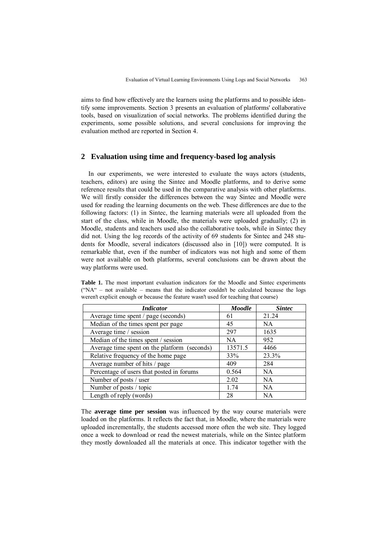aims to find how effectively are the learners using the platforms and to possible identify some improvements. Section 3 presents an evaluation of platforms' collaborative tools, based on visualization of social networks. The problems identified during the experiments, some possible solutions, and several conclusions for improving the evaluation method are reported in Section 4.

### **2 Evaluation using time and frequency-based log analysis**

In our experiments, we were interested to evaluate the ways actors (students, teachers, editors) are using the Sintec and Moodle platforms, and to derive some reference results that could be used in the comparative analysis with other platforms. We will firstly consider the differences between the way Sintec and Moodle were used for reading the learning documents on the web. These differences are due to the following factors: (1) in Sintec, the learning materials were all uploaded from the start of the class, while in Moodle, the materials were uploaded gradually; (2) in Moodle, students and teachers used also the collaborative tools, while in Sintec they did not. Using the log records of the activity of 69 students for Sintec and 248 students for Moodle, several indicators (discussed also in [10]) were computed. It is remarkable that, even if the number of indicators was not high and some of them were not available on both platforms, several conclusions can be drawn about the way platforms were used.

**Table 1.** The most important evaluation indicators for the Moodle and Sintec experiments  $("NA" - not available - means that the indicator couldn't be calculated because the logs$ weren't explicit enough or because the feature wasn't used for teaching that course)

| <i>Indicator</i>                             | <b>Moodle</b> | <b>Sintec</b> |  |
|----------------------------------------------|---------------|---------------|--|
| Average time spent / page (seconds)          | 61            | 21.24         |  |
| Median of the times spent per page           | 45            | NA.           |  |
| Average time / session                       | 297           | 1635          |  |
| Median of the times spent / session          | NA            | 952           |  |
| Average time spent on the platform (seconds) | 13571.5       | 4466          |  |
| Relative frequency of the home page          | 33%           | 23.3%         |  |
| Average number of hits / page                | 409           | 284           |  |
| Percentage of users that posted in forums    | 0.564         | <b>NA</b>     |  |
| Number of posts / user                       | 2.02          | <b>NA</b>     |  |
| Number of posts / topic                      | 1.74          | <b>NA</b>     |  |
| Length of reply (words)                      | 28            | <b>NA</b>     |  |

The **average time per session** was influenced by the way course materials were loaded on the platforms. It reflects the fact that, in Moodle, where the materials were uploaded incrementally, the students accessed more often the web site. They logged once a week to download or read the newest materials, while on the Sintec platform they mostly downloaded all the materials at once. This indicator together with the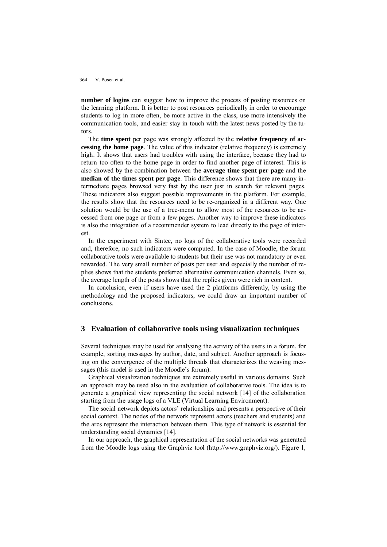364 V. Posea et al.

**number of logins** can suggest how to improve the process of posting resources on the learning platform. It is better to post resources periodically in order to encourage students to log in more often, be more active in the class, use more intensively the communication tools, and easier stay in touch with the latest news posted by the tutors.

The **time spent** per page was strongly affected by the **relative frequency of accessing the home page***.* The value of this indicator (relative frequency) is extremely high. It shows that users had troubles with using the interface, because they had to return too often to the home page in order to find another page of interest. This is also showed by the combination between the **average time spent per page** and the **median of the times spent per page**. This difference shows that there are many intermediate pages browsed very fast by the user just in search for relevant pages. These indicators also suggest possible improvements in the platform. For example, the results show that the resources need to be re-organized in a different way. One solution would be the use of a tree-menu to allow most of the resources to be accessed from one page or from a few pages. Another way to improve these indicators is also the integration of a recommender system to lead directly to the page of interest.

In the experiment with Sintec, no logs of the collaborative tools were recorded and, therefore, no such indicators were computed. In the case of Moodle, the forum collaborative tools were available to students but their use was not mandatory or even rewarded. The very small number of posts per user and especially the number of replies shows that the students preferred alternative communication channels. Even so, the average length of the posts shows that the replies given were rich in content.

In conclusion, even if users have used the 2 platforms differently, by using the methodology and the proposed indicators, we could draw an important number of conclusions.

#### **3 Evaluation of collaborative tools using visualization techniques**

Several techniques may be used for analysing the activity of the users in a forum, for example, sorting messages by author, date, and subject. Another approach is focusing on the convergence of the multiple threads that characterizes the weaving messages (this model is used in the Moodle's forum).

Graphical visualization techniques are extremely useful in various domains. Such an approach may be used also in the evaluation of collaborative tools. The idea is to generate a graphical view representing the social network [14] of the collaboration starting from the usage logs of a VLE (Virtual Learning Environment).

The social network depicts actors' relationships and presents a perspective of their social context. The nodes of the network represent actors (teachers and students) and the arcs represent the interaction between them. This type of network is essential for understanding social dynamics [14].

In our approach, the graphical representation of the social networks was generated from the Moodle logs using the Graphviz tool (http://www.graphviz.org/). Figure 1,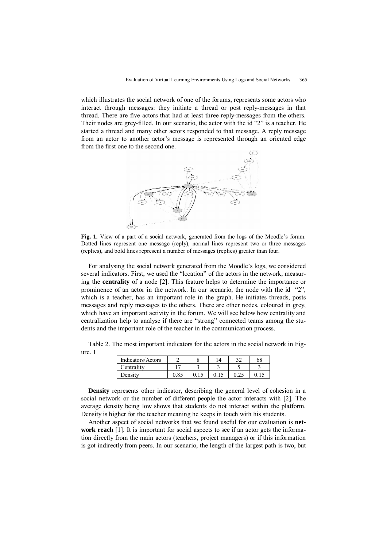which illustrates the social network of one of the forums, represents some actors who interact through messages: they initiate a thread or post reply-messages in that thread. There are five actors that had at least three reply-messages from the others. Their nodes are grey-filled. In our scenario, the actor with the id "2" is a teacher. He started a thread and many other actors responded to that message. A reply message from an actor to another actor's message is represented through an oriented edge from the first one to the second one.



**Fig. 1.** View of a part of a social network, generated from the logs of the Moodle's forum. Dotted lines represent one message (reply), normal lines represent two or three messages (replies), and bold lines represent a number of messages (replies) greater than four.

For analysing the social network generated from the Moodle's logs, we considered several indicators. First, we used the "location" of the actors in the network, measuring the **centrality** of a node [2]. This feature helps to determine the importance or prominence of an actor in the network. In our scenario, the node with the id "2", which is a teacher, has an important role in the graph. He initiates threads, posts messages and reply messages to the others. There are other nodes, coloured in grey, which have an important activity in the forum. We will see below how centrality and centralization help to analyse if there are "strong" connected teams among the students and the important role of the teacher in the communication process.

Table 2. The most important indicators for the actors in the social network in Figure. 1

| Indicators/Actors |            |  | 68 |
|-------------------|------------|--|----|
| Centrality        | $\epsilon$ |  |    |
| Density           |            |  |    |

**Density** represents other indicator, describing the general level of cohesion in a social network or the number of different people the actor interacts with [2]. The average density being low shows that students do not interact within the platform. Density is higher for the teacher meaning he keeps in touch with his students.

Another aspect of social networks that we found useful for our evaluation is **network reach** [1]. It is important for social aspects to see if an actor gets the information directly from the main actors (teachers, project managers) or if this information is got indirectly from peers. In our scenario, the length of the largest path is two, but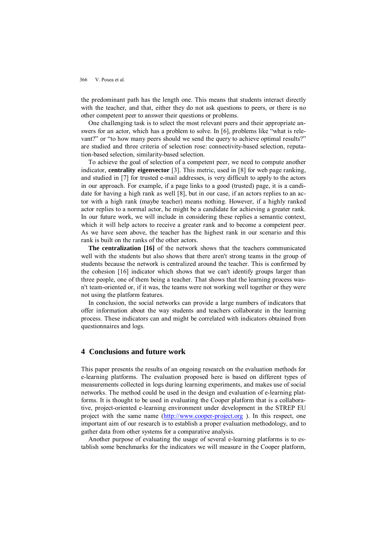366 V. Posea et al.

the predominant path has the length one. This means that students interact directly with the teacher, and that, either they do not ask questions to peers, or there is no other competent peer to answer their questions or problems.

One challenging task is to select the most relevant peers and their appropriate answers for an actor, which has a problem to solve. In [6], problems like "what is relevant?" or "to how many peers should we send the query to achieve optimal results?" are studied and three criteria of selection rose: connectivity-based selection, reputation-based selection, similarity-based selection.

To achieve the goal of selection of a competent peer, we need to compute another indicator, **centrality eigenvector** [3]. This metric, used in [8] for web page ranking, and studied in [7] for trusted e-mail addresses, is very difficult to apply to the actors in our approach. For example, if a page links to a good (trusted) page, it is a candidate for having a high rank as well [8], but in our case, if an actors replies to an actor with a high rank (maybe teacher) means nothing. However, if a highly ranked actor replies to a normal actor, he might be a candidate for achieving a greater rank. In our future work, we will include in considering these replies a semantic context, which it will help actors to receive a greater rank and to become a competent peer. As we have seen above, the teacher has the highest rank in our scenario and this rank is built on the ranks of the other actors.

**The centralization [16]** of the network shows that the teachers communicated well with the students but also shows that there aren't strong teams in the group of students because the network is centralized around the teacher. This is confirmed by the cohesion [16] indicator which shows that we can't identify groups larger than three people, one of them being a teacher. That shows that the learning process wasn't team-oriented or, if it was, the teams were not working well together or they were not using the platform features.

In conclusion, the social networks can provide a large numbers of indicators that offer information about the way students and teachers collaborate in the learning process. These indicators can and might be correlated with indicators obtained from questionnaires and logs.

## **4 Conclusions and future work**

This paper presents the results of an ongoing research on the evaluation methods for e-learning platforms. The evaluation proposed here is based on different types of measurements collected in logs during learning experiments, and makes use of social networks. The method could be used in the design and evaluation of e-learning platforms. It is thought to be used in evaluating the Cooper platform that is a collaborative, project-oriented e-learning environment under development in the STREP EU project with the same name [\(http://www.cooper-project.org](http://www.cooper-project.org) ). In this respect, one important aim of our research is to establish a proper evaluation methodology, and to gather data from other systems for a comparative analysis.

Another purpose of evaluating the usage of several e-learning platforms is to establish some benchmarks for the indicators we will measure in the Cooper platform,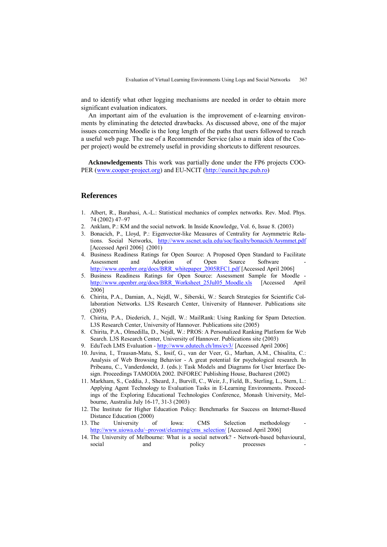and to identify what other logging mechanisms are needed in order to obtain more significant evaluation indicators.

An important aim of the evaluation is the improvement of e-learning environments by eliminating the detected drawbacks. As discussed above, one of the major issues concerning Moodle is the long length of the paths that users followed to reach a useful web page. The use of a Recommender Service (also a main idea of the Cooper project) would be extremely useful in providing shortcuts to different resources.

**Acknowledgements** This work was partially done under the FP6 projects COO-PER [\(www.cooper-project.org\)](http://www.cooper-project.org) and EU-NCIT [\(http://euncit.hpc.pub.ro\)](http://euncit.hpc.pub.ro)

## **References**

- 1. Albert, R., Barabasi, A.-L.: Statistical mechanics of complex networks. Rev. Mod. Phys. 74 (2002) 47–97
- 2. Anklam, P.: KM and the social network. In Inside Knowledge, Vol. 6, Issue 8. (2003)
- 3. Bonacich, P., Lloyd, P.: Eigenvector-like Measures of Centrality for Asymmetric Relations. Social Networks, <http://www.sscnet.ucla.edu/soc/faculty/bonacich/Asymmet.pdf> [Accessed April 2006] (2001)
- 4. Business Readiness Ratings for Open Source: A Proposed Open Standard to Facilitate Assessment and Adoption of Open Source Software [http://www.openbrr.org/docs/BRR\\_whitepaper\\_2005RFC1.pdf](http://www.openbrr.org/docs/BRR_whitepaper_2005RFC1.pdf) [Accessed April 2006]
- 5. Business Readiness Ratings for Open Source: Assessment Sample for Moodle [http://www.openbrr.org/docs/BRR\\_Worksheet\\_25Jul05\\_Moodle.xls](http://www.openbrr.org/docs/BRR_Worksheet_25Jul05_Moodle.xls) [Accessed April 2006]
- 6. Chirita, P.A., Damian, A., Nejdl, W., Siberski, W.: Search Strategies for Scientific Collaboration Networks. L3S Research Center, University of Hannover. Publications site (2005)
- 7. Chirita, P.A., Diederich, J., Nejdl, W.: MailRank: Using Ranking for Spam Detection. L3S Research Center, University of Hannover. Publications site (2005)
- 8. Chirita, P.A., Olmedilla, D., Nejdl, W.: PROS: A Personalized Ranking Platform for Web Search. L3S Research Center, University of Hannover. Publications site (2003)
- 9. EduTech LMS Evaluation <http://www.edutech.ch/lms/ev3/>[Accessed April 2006]
- 10. Juvina, I., Trausan-Matu, S., Iosif, G., van der Veer, G., Marhan, A.M., Chisalita, C.: Analysis of Web Browsing Behavior - A great potential for psychological research. In Pribeanu, C., Vanderdonckt, J. (eds.): Task Models and Diagrams for User Interface Design. Proceedings TAMODIA 2002. INFOREC Publishing House, Bucharest (2002)
- 11. Markham, S., Ceddia, J., Sheard, J., Burvill, C., Weir, J., Field, B., Sterling, L., Stern, L.: Applying Agent Technology to Evaluation Tasks in E-Learning Environments. Proceedings of the Exploring Educational Technologies Conference, Monash University, Melbourne, Australia July 16-17, 31-3 (2003)
- 12. The Institute for Higher Education Policy: Benchmarks for Success on Internet-Based Distance Education (2000)
- 13. The University of Iowa: CMS Selection methodology [http://www.uiowa.edu/~provost/elearning/cms\\_selection/](http://www.uiowa.edu/~provost/elearning/cms_selection/) [Accessed April 2006]
- 14. The University of Melbourne: What is a social network? **-** Network-based behavioural, social and policy processes